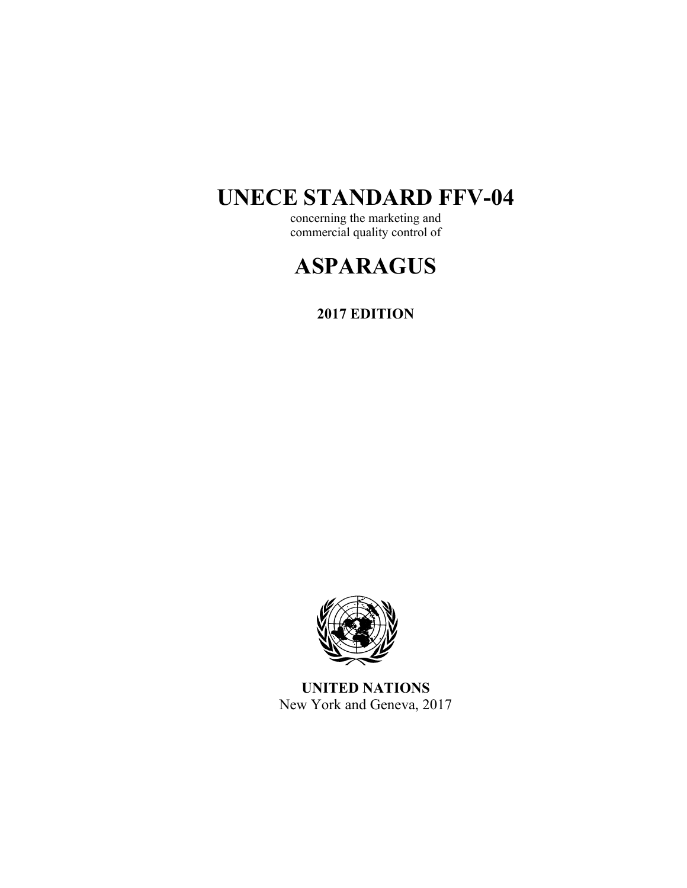# **UNECE STANDARD FFV-04**

concerning the marketing and commercial quality control of

# **ASPARAGUS**

**2017 EDITION** 



**UNITED NATIONS**  New York and Geneva, 2017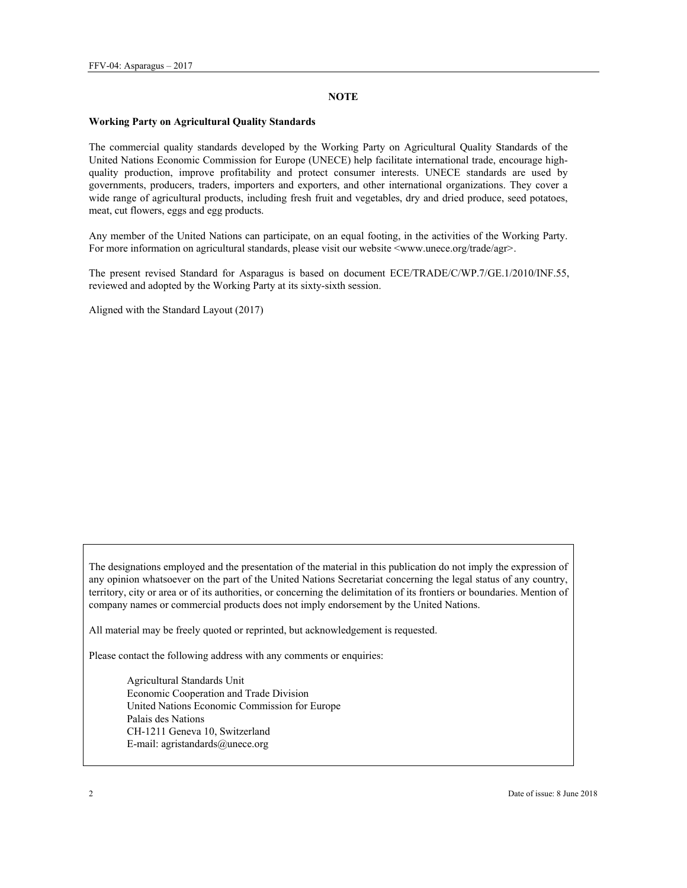### **NOTE**

### **Working Party on Agricultural Quality Standards**

The commercial quality standards developed by the Working Party on Agricultural Quality Standards of the United Nations Economic Commission for Europe (UNECE) help facilitate international trade, encourage highquality production, improve profitability and protect consumer interests. UNECE standards are used by governments, producers, traders, importers and exporters, and other international organizations. They cover a wide range of agricultural products, including fresh fruit and vegetables, dry and dried produce, seed potatoes, meat, cut flowers, eggs and egg products.

Any member of the United Nations can participate, on an equal footing, in the activities of the Working Party. For more information on agricultural standards, please visit our website <www.unece.org/trade/agr>.

The present revised Standard for Asparagus is based on document ECE/TRADE/C/WP.7/GE.1/2010/INF.55, reviewed and adopted by the Working Party at its sixty-sixth session.

Aligned with the Standard Layout (2017)

The designations employed and the presentation of the material in this publication do not imply the expression of any opinion whatsoever on the part of the United Nations Secretariat concerning the legal status of any country, territory, city or area or of its authorities, or concerning the delimitation of its frontiers or boundaries. Mention of company names or commercial products does not imply endorsement by the United Nations.

All material may be freely quoted or reprinted, but acknowledgement is requested.

Please contact the following address with any comments or enquiries:

Agricultural Standards Unit Economic Cooperation and Trade Division United Nations Economic Commission for Europe Palais des Nations CH-1211 Geneva 10, Switzerland E-mail: agristandards@unece.org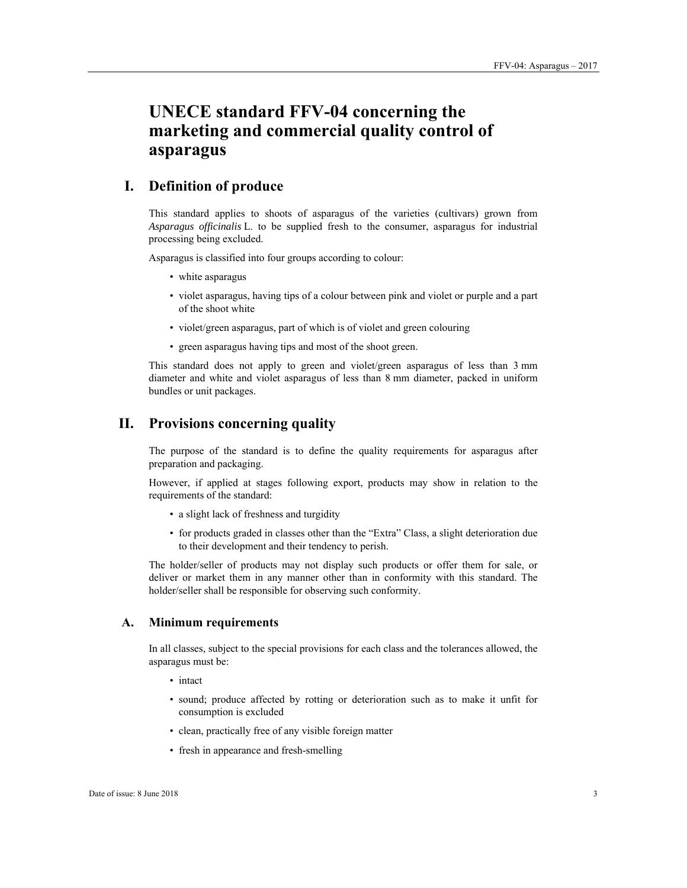# **UNECE standard FFV-04 concerning the marketing and commercial quality control of asparagus**

# **I. Definition of produce**

This standard applies to shoots of asparagus of the varieties (cultivars) grown from *Asparagus officinalis* L. to be supplied fresh to the consumer, asparagus for industrial processing being excluded.

Asparagus is classified into four groups according to colour:

- white asparagus
- violet asparagus, having tips of a colour between pink and violet or purple and a part of the shoot white
- violet/green asparagus, part of which is of violet and green colouring
- green asparagus having tips and most of the shoot green.

This standard does not apply to green and violet/green asparagus of less than 3 mm diameter and white and violet asparagus of less than 8 mm diameter, packed in uniform bundles or unit packages.

## **II. Provisions concerning quality**

The purpose of the standard is to define the quality requirements for asparagus after preparation and packaging.

However, if applied at stages following export, products may show in relation to the requirements of the standard:

- a slight lack of freshness and turgidity
- for products graded in classes other than the "Extra" Class, a slight deterioration due to their development and their tendency to perish.

The holder/seller of products may not display such products or offer them for sale, or deliver or market them in any manner other than in conformity with this standard. The holder/seller shall be responsible for observing such conformity.

### **A. Minimum requirements**

In all classes, subject to the special provisions for each class and the tolerances allowed, the asparagus must be:

- intact
- sound; produce affected by rotting or deterioration such as to make it unfit for consumption is excluded
- clean, practically free of any visible foreign matter
- fresh in appearance and fresh-smelling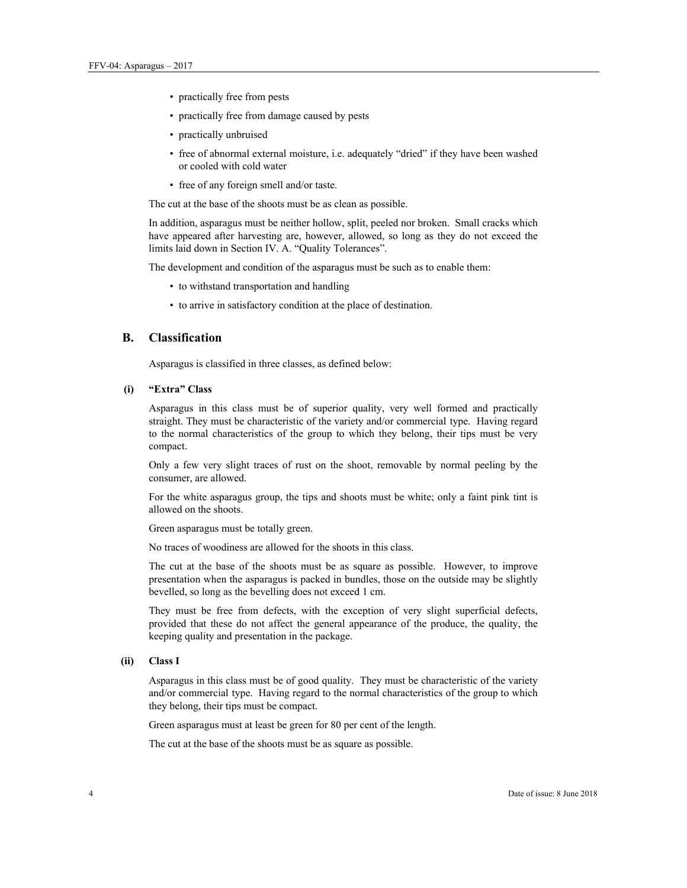- practically free from pests
- practically free from damage caused by pests
- practically unbruised
- free of abnormal external moisture, i.e. adequately "dried" if they have been washed or cooled with cold water
- free of any foreign smell and/or taste.

The cut at the base of the shoots must be as clean as possible.

In addition, asparagus must be neither hollow, split, peeled nor broken. Small cracks which have appeared after harvesting are, however, allowed, so long as they do not exceed the limits laid down in Section IV. A. "Quality Tolerances".

The development and condition of the asparagus must be such as to enable them:

- to withstand transportation and handling
- to arrive in satisfactory condition at the place of destination.

### **B. Classification**

Asparagus is classified in three classes, as defined below:

### **(i) "Extra" Class**

Asparagus in this class must be of superior quality, very well formed and practically straight. They must be characteristic of the variety and/or commercial type. Having regard to the normal characteristics of the group to which they belong, their tips must be very compact.

Only a few very slight traces of rust on the shoot, removable by normal peeling by the consumer, are allowed.

For the white asparagus group, the tips and shoots must be white; only a faint pink tint is allowed on the shoots.

Green asparagus must be totally green.

No traces of woodiness are allowed for the shoots in this class.

The cut at the base of the shoots must be as square as possible. However, to improve presentation when the asparagus is packed in bundles, those on the outside may be slightly bevelled, so long as the bevelling does not exceed 1 cm.

They must be free from defects, with the exception of very slight superficial defects, provided that these do not affect the general appearance of the produce, the quality, the keeping quality and presentation in the package.

### **(ii) Class I**

Asparagus in this class must be of good quality. They must be characteristic of the variety and/or commercial type. Having regard to the normal characteristics of the group to which they belong, their tips must be compact.

Green asparagus must at least be green for 80 per cent of the length.

The cut at the base of the shoots must be as square as possible.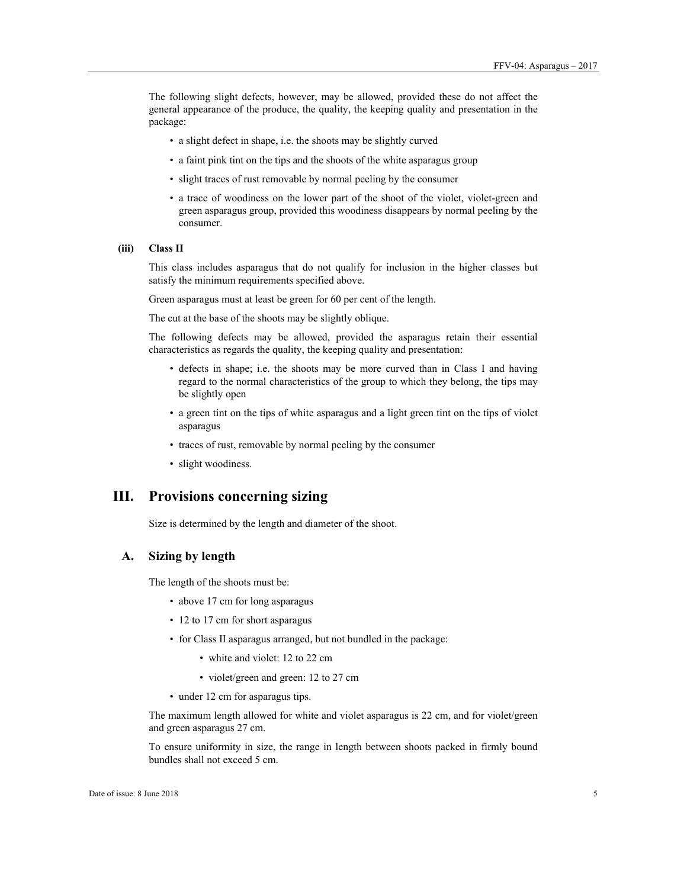The following slight defects, however, may be allowed, provided these do not affect the general appearance of the produce, the quality, the keeping quality and presentation in the package:

- a slight defect in shape, i.e. the shoots may be slightly curved
- a faint pink tint on the tips and the shoots of the white asparagus group
- slight traces of rust removable by normal peeling by the consumer
- a trace of woodiness on the lower part of the shoot of the violet, violet-green and green asparagus group, provided this woodiness disappears by normal peeling by the consumer.

### **(iii) Class II**

This class includes asparagus that do not qualify for inclusion in the higher classes but satisfy the minimum requirements specified above.

Green asparagus must at least be green for 60 per cent of the length.

The cut at the base of the shoots may be slightly oblique.

The following defects may be allowed, provided the asparagus retain their essential characteristics as regards the quality, the keeping quality and presentation:

- defects in shape; i.e. the shoots may be more curved than in Class I and having regard to the normal characteristics of the group to which they belong, the tips may be slightly open
- a green tint on the tips of white asparagus and a light green tint on the tips of violet asparagus
- traces of rust, removable by normal peeling by the consumer
- slight woodiness.

## **III. Provisions concerning sizing**

Size is determined by the length and diameter of the shoot.

### **A. Sizing by length**

The length of the shoots must be:

- above 17 cm for long asparagus
- 12 to 17 cm for short asparagus
- for Class II asparagus arranged, but not bundled in the package:
	- white and violet: 12 to 22 cm
	- violet/green and green: 12 to 27 cm
- under 12 cm for asparagus tips.

The maximum length allowed for white and violet asparagus is 22 cm, and for violet/green and green asparagus 27 cm.

To ensure uniformity in size, the range in length between shoots packed in firmly bound bundles shall not exceed 5 cm.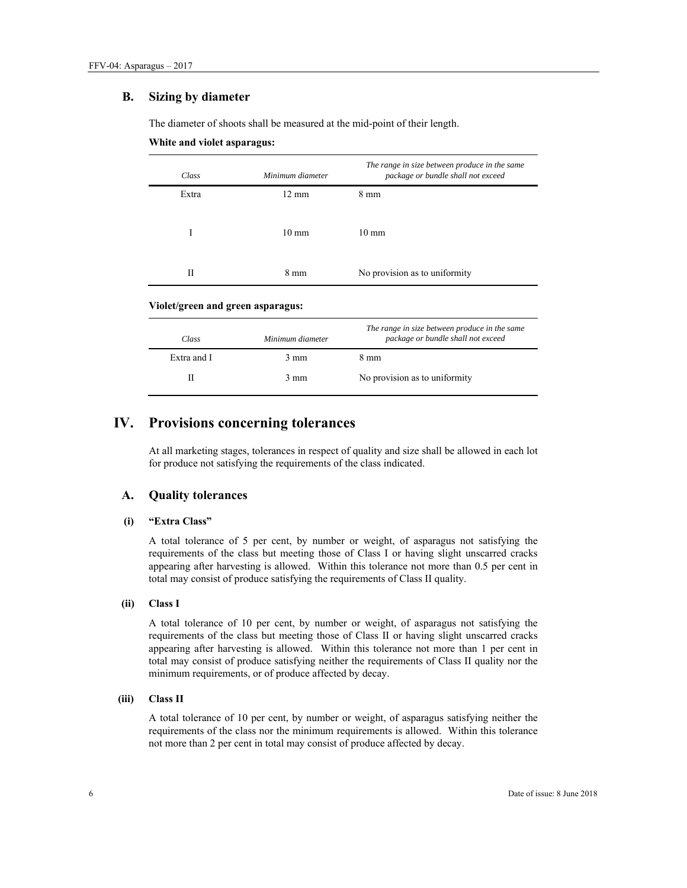### **B. Sizing by diameter**

The diameter of shoots shall be measured at the mid-point of their length.

### **White and violet asparagus:**

| Class | Minimum diameter | The range in size between produce in the same<br>package or bundle shall not exceed |
|-------|------------------|-------------------------------------------------------------------------------------|
| Extra | $12 \text{ mm}$  | $8 \text{ mm}$                                                                      |
| I     | $10 \text{ mm}$  | $10 \text{ mm}$                                                                     |
| Н     | $8 \text{ mm}$   | No provision as to uniformity                                                       |

### **Violet/green and green asparagus:**

| Class       | Minimum diameter | The range in size between produce in the same<br>package or bundle shall not exceed |
|-------------|------------------|-------------------------------------------------------------------------------------|
| Extra and I | $3 \text{ mm}$   | 8 mm                                                                                |
|             | $3 \text{ mm}$   | No provision as to uniformity                                                       |

# **IV. Provisions concerning tolerances**

At all marketing stages, tolerances in respect of quality and size shall be allowed in each lot for produce not satisfying the requirements of the class indicated.

### **A. Quality tolerances**

### **(i) "Extra Class"**

A total tolerance of 5 per cent, by number or weight, of asparagus not satisfying the requirements of the class but meeting those of Class I or having slight unscarred cracks appearing after harvesting is allowed. Within this tolerance not more than 0.5 per cent in total may consist of produce satisfying the requirements of Class II quality.

### **(ii) Class I**

A total tolerance of 10 per cent, by number or weight, of asparagus not satisfying the requirements of the class but meeting those of Class II or having slight unscarred cracks appearing after harvesting is allowed. Within this tolerance not more than 1 per cent in total may consist of produce satisfying neither the requirements of Class II quality nor the minimum requirements, or of produce affected by decay.

### **(iii) Class II**

A total tolerance of 10 per cent, by number or weight, of asparagus satisfying neither the requirements of the class nor the minimum requirements is allowed. Within this tolerance not more than 2 per cent in total may consist of produce affected by decay.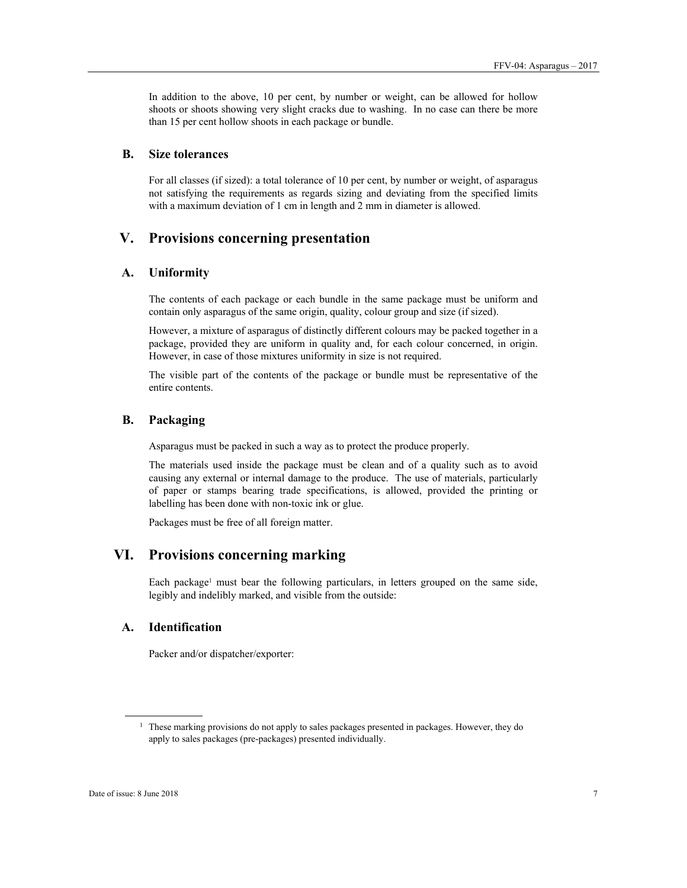In addition to the above, 10 per cent, by number or weight, can be allowed for hollow shoots or shoots showing very slight cracks due to washing. In no case can there be more than 15 per cent hollow shoots in each package or bundle.

### **B. Size tolerances**

For all classes (if sized): a total tolerance of 10 per cent, by number or weight, of asparagus not satisfying the requirements as regards sizing and deviating from the specified limits with a maximum deviation of 1 cm in length and 2 mm in diameter is allowed.

# **V. Provisions concerning presentation**

### **A. Uniformity**

The contents of each package or each bundle in the same package must be uniform and contain only asparagus of the same origin, quality, colour group and size (if sized).

However, a mixture of asparagus of distinctly different colours may be packed together in a package, provided they are uniform in quality and, for each colour concerned, in origin. However, in case of those mixtures uniformity in size is not required.

The visible part of the contents of the package or bundle must be representative of the entire contents.

### **B. Packaging**

Asparagus must be packed in such a way as to protect the produce properly.

The materials used inside the package must be clean and of a quality such as to avoid causing any external or internal damage to the produce. The use of materials, particularly of paper or stamps bearing trade specifications, is allowed, provided the printing or labelling has been done with non-toxic ink or glue.

Packages must be free of all foreign matter.

# **VI. Provisions concerning marking**

Each package<sup>1</sup> must bear the following particulars, in letters grouped on the same side, legibly and indelibly marked, and visible from the outside:

### **A. Identification**

Packer and/or dispatcher/exporter:

 $\overline{a}$ 

<sup>&</sup>lt;sup>1</sup> These marking provisions do not apply to sales packages presented in packages. However, they do apply to sales packages (pre-packages) presented individually.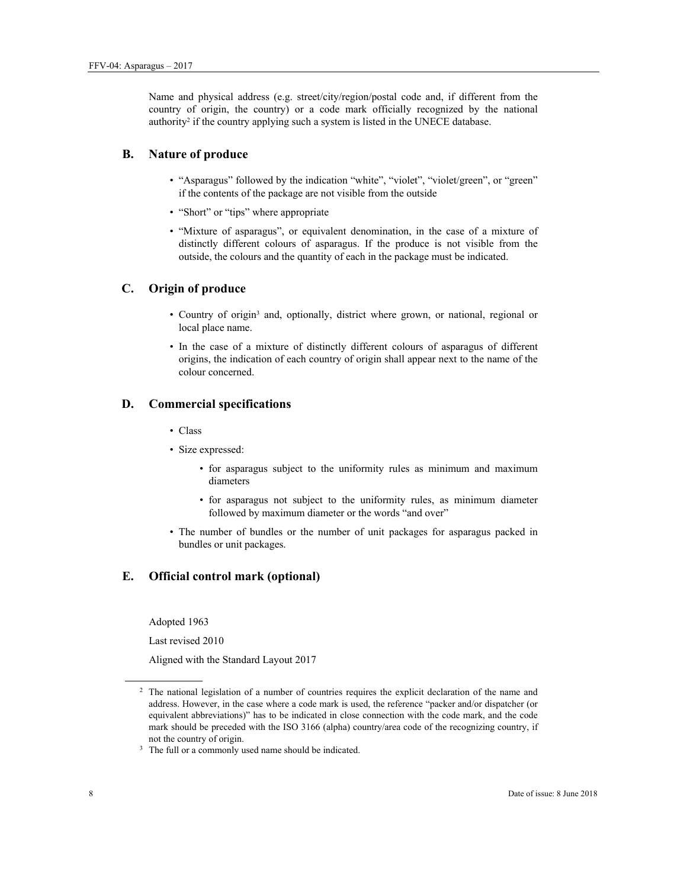Name and physical address (e.g. street/city/region/postal code and, if different from the country of origin, the country) or a code mark officially recognized by the national authority<sup>2</sup> if the country applying such a system is listed in the UNECE database.

### **B. Nature of produce**

- "Asparagus" followed by the indication "white", "violet", "violet/green", or "green" if the contents of the package are not visible from the outside
- "Short" or "tips" where appropriate
- "Mixture of asparagus", or equivalent denomination, in the case of a mixture of distinctly different colours of asparagus. If the produce is not visible from the outside, the colours and the quantity of each in the package must be indicated.

### **C. Origin of produce**

- Country of origin<sup>3</sup> and, optionally, district where grown, or national, regional or local place name.
- In the case of a mixture of distinctly different colours of asparagus of different origins, the indication of each country of origin shall appear next to the name of the colour concerned.

### **D. Commercial specifications**

- Class
- Size expressed:
	- for asparagus subject to the uniformity rules as minimum and maximum diameters
	- for asparagus not subject to the uniformity rules, as minimum diameter followed by maximum diameter or the words "and over"
- The number of bundles or the number of unit packages for asparagus packed in bundles or unit packages.

### **E. Official control mark (optional)**

Adopted 1963

Last revised 2010

Aligned with the Standard Layout 2017

 $\overline{a}$ 

<sup>&</sup>lt;sup>2</sup> The national legislation of a number of countries requires the explicit declaration of the name and address. However, in the case where a code mark is used, the reference "packer and/or dispatcher (or equivalent abbreviations)" has to be indicated in close connection with the code mark, and the code mark should be preceded with the ISO 3166 (alpha) country/area code of the recognizing country, if not the country of origin.<br> $3$  The full or a commonly used name should be indicated.